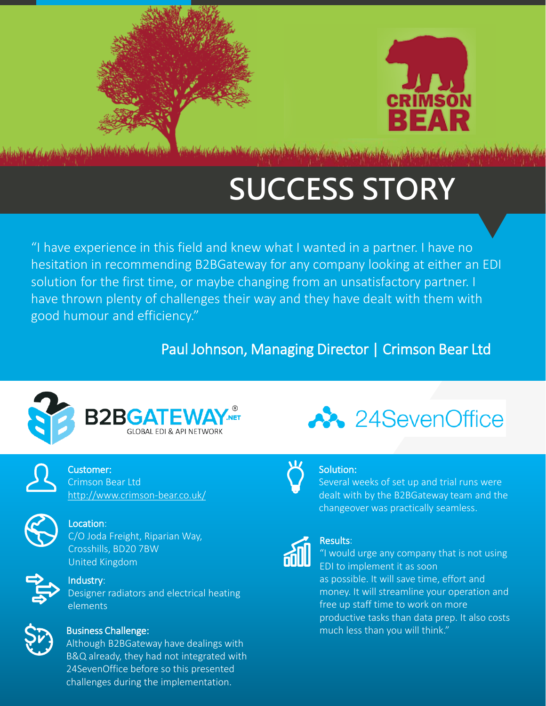



Algebra Chelen Well of the second bank for the lands of a form of the second chelen

# **SUCCESS STORY**

"I have experience in this field and knew what I wanted in a partner. I have no hesitation in recommending B2BGateway for any company looking at either an EDI solution for the first time, or maybe changing from an unsatisfactory partner. I have thrown plenty of challenges their way and they have dealt with them with good humour and efficiency."

### Paul Johnson, Managing Director | Crimson Bear Ltd





Customer: Crimson Bear Ltd <http://www.crimson-bear.co.uk/>



### Location:

C/O Joda Freight, Riparian Way, Crosshills, BD20 7BW United Kingdom



### Industry: Designer radiators and electrical heating elements



#### Business Challenge:

Although B2BGateway have dealings with B&Q already, they had not integrated with 24SevenOffice before so this presented challenges during the implementation.



### Solution:

Several weeks of set up and trial runs were dealt with by the B2BGateway team and the changeover was practically seamless.



### Results:

"I would urge any company that is not using EDI to implement it as soon as possible. It will save time, effort and money. It will streamline your operation and free up staff time to work on more productive tasks than data prep. It also costs much less than you will think."